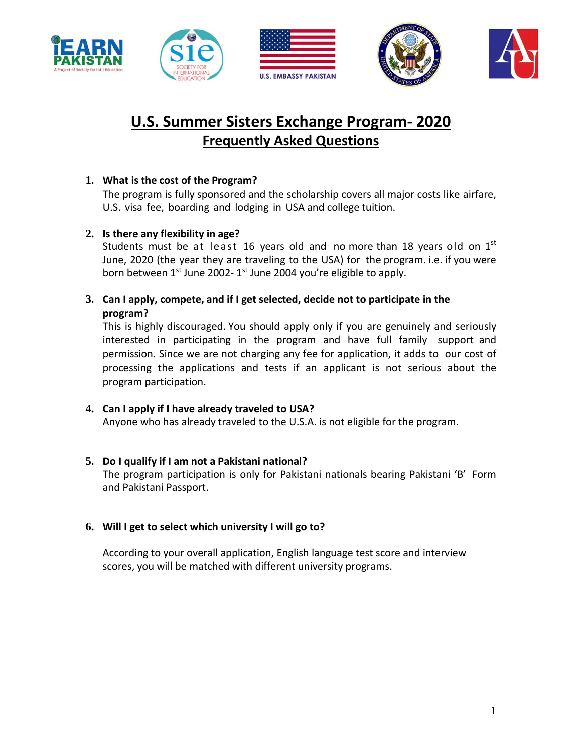









# **U.S. Summer Sisters Exchange Program- 2020 Frequently Asked Questions**

## **1. What is the cost of the Program?**

The program is fully sponsored and the scholarship covers all major costs like airfare, U.S. visa fee, boarding and lodging in USA and college tuition.

### **2. Is there any flexibility in age?**

Students must be at least 16 years old and no more than 18 years old on  $1^{st}$ June, 2020 (the year they are traveling to the USA) for the program. i.e. if you were born between 1<sup>st</sup> June 2002- 1<sup>st</sup> June 2004 you're eligible to apply.

**3. Can I apply, compete, and if I get selected, decide not to participate in the program?**

This is highly discouraged. You should apply only if you are genuinely and seriously interested in participating in the program and have full family support and permission. Since we are not charging any fee for application, it adds to our cost of processing the applications and tests if an applicant is not serious about the program participation.

**4. Can I apply if I have already traveled to USA?** Anyone who has already traveled to the U.S.A. is not eligible for the program.

#### **5. Do I qualify if I am not a Pakistani national?**

The program participation is only for Pakistani nationals bearing Pakistani 'B' Form and Pakistani Passport.

#### **6. Will I get to select which university I will go to?**

According to your overall application, English language test score and interview scores, you will be matched with different university programs.